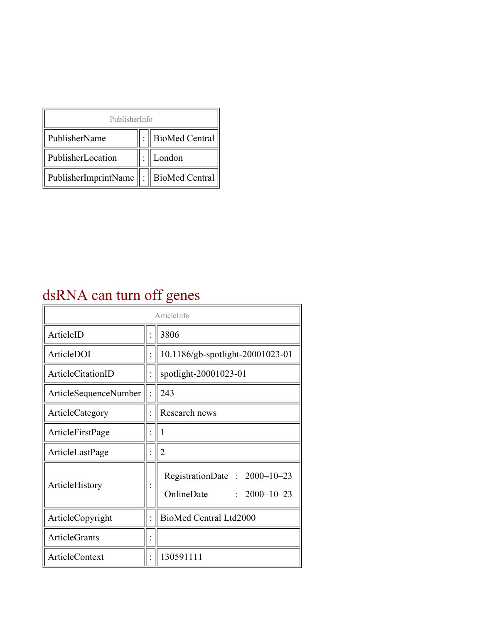| PublisherInfo                                   |  |                    |  |  |
|-------------------------------------------------|--|--------------------|--|--|
| PublisherName                                   |  | :   BioMed Central |  |  |
| PublisherLocation                               |  | London             |  |  |
| PublisherImprintName $\ \cdot\ $ BioMed Central |  |                    |  |  |

## dsRNA can turn off genes

| ArticleInfo           |  |                                                                  |
|-----------------------|--|------------------------------------------------------------------|
| ArticleID             |  | 3806                                                             |
| ArticleDOI            |  | 10.1186/gb-spotlight-20001023-01                                 |
| ArticleCitationID     |  | spotlight-20001023-01                                            |
| ArticleSequenceNumber |  | 243                                                              |
| ArticleCategory       |  | Research news                                                    |
| ArticleFirstPage      |  | 1                                                                |
| ArticleLastPage       |  | $\overline{2}$                                                   |
| ArticleHistory        |  | RegistrationDate: 2000-10-23<br>OnlineDate<br>$: 2000 - 10 - 23$ |
| ArticleCopyright      |  | BioMed Central Ltd2000                                           |
| <b>ArticleGrants</b>  |  |                                                                  |
| <b>ArticleContext</b> |  | 130591111                                                        |